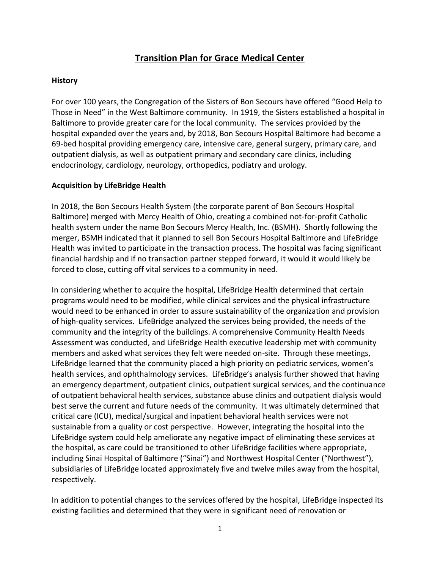# **Transition Plan for Grace Medical Center**

#### **History**

For over 100 years, the Congregation of the Sisters of Bon Secours have offered "Good Help to Those in Need" in the West Baltimore community. In 1919, the Sisters established a hospital in Baltimore to provide greater care for the local community. The services provided by the hospital expanded over the years and, by 2018, Bon Secours Hospital Baltimore had become a 69-bed hospital providing emergency care, intensive care, general surgery, primary care, and outpatient dialysis, as well as outpatient primary and secondary care clinics, including endocrinology, cardiology, neurology, orthopedics, podiatry and urology.

## **Acquisition by LifeBridge Health**

In 2018, the Bon Secours Health System (the corporate parent of Bon Secours Hospital Baltimore) merged with Mercy Health of Ohio, creating a combined not-for-profit Catholic health system under the name Bon Secours Mercy Health, Inc. (BSMH). Shortly following the merger, BSMH indicated that it planned to sell Bon Secours Hospital Baltimore and LifeBridge Health was invited to participate in the transaction process. The hospital was facing significant financial hardship and if no transaction partner stepped forward, it would it would likely be forced to close, cutting off vital services to a community in need.

In considering whether to acquire the hospital, LifeBridge Health determined that certain programs would need to be modified, while clinical services and the physical infrastructure would need to be enhanced in order to assure sustainability of the organization and provision of high-quality services. LifeBridge analyzed the services being provided, the needs of the community and the integrity of the buildings. A comprehensive Community Health Needs Assessment was conducted, and LifeBridge Health executive leadership met with community members and asked what services they felt were needed on-site. Through these meetings, LifeBridge learned that the community placed a high priority on pediatric services, women's health services, and ophthalmology services. LifeBridge's analysis further showed that having an emergency department, outpatient clinics, outpatient surgical services, and the continuance of outpatient behavioral health services, substance abuse clinics and outpatient dialysis would best serve the current and future needs of the community. It was ultimately determined that critical care (ICU), medical/surgical and inpatient behavioral health services were not sustainable from a quality or cost perspective. However, integrating the hospital into the LifeBridge system could help ameliorate any negative impact of eliminating these services at the hospital, as care could be transitioned to other LifeBridge facilities where appropriate, including Sinai Hospital of Baltimore ("Sinai") and Northwest Hospital Center ("Northwest"), subsidiaries of LifeBridge located approximately five and twelve miles away from the hospital, respectively.

In addition to potential changes to the services offered by the hospital, LifeBridge inspected its existing facilities and determined that they were in significant need of renovation or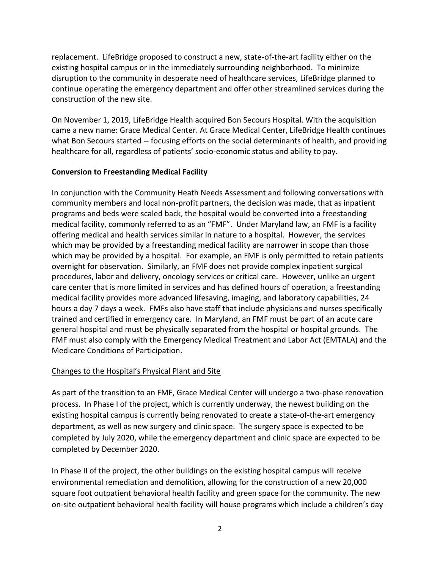replacement. LifeBridge proposed to construct a new, state-of-the-art facility either on the existing hospital campus or in the immediately surrounding neighborhood. To minimize disruption to the community in desperate need of healthcare services, LifeBridge planned to continue operating the emergency department and offer other streamlined services during the construction of the new site.

On November 1, 2019, LifeBridge Health acquired Bon Secours Hospital. With the acquisition came a new name: Grace Medical Center. At Grace Medical Center, LifeBridge Health continues what Bon Secours started -- focusing efforts on the social determinants of health, and providing healthcare for all, regardless of patients' socio-economic status and ability to pay.

#### **Conversion to Freestanding Medical Facility**

In conjunction with the Community Heath Needs Assessment and following conversations with community members and local non-profit partners, the decision was made, that as inpatient programs and beds were scaled back, the hospital would be converted into a freestanding medical facility, commonly referred to as an "FMF". Under Maryland law, an FMF is a facility offering medical and health services similar in nature to a hospital. However, the services which may be provided by a freestanding medical facility are narrower in scope than those which may be provided by a hospital. For example, an FMF is only permitted to retain patients overnight for observation. Similarly, an FMF does not provide complex inpatient surgical procedures, labor and delivery, oncology services or critical care. However, unlike an urgent care center that is more limited in services and has defined hours of operation, a freestanding medical facility provides more advanced lifesaving, imaging, and laboratory capabilities, 24 hours a day 7 days a week. FMFs also have staff that include physicians and nurses specifically trained and certified in emergency care. In Maryland, an FMF must be part of an acute care general hospital and must be physically separated from the hospital or hospital grounds. The FMF must also comply with the Emergency Medical Treatment and Labor Act (EMTALA) and the Medicare Conditions of Participation.

## Changes to the Hospital's Physical Plant and Site

As part of the transition to an FMF, Grace Medical Center will undergo a two-phase renovation process. In Phase I of the project, which is currently underway, the newest building on the existing hospital campus is currently being renovated to create a state-of-the-art emergency department, as well as new surgery and clinic space. The surgery space is expected to be completed by July 2020, while the emergency department and clinic space are expected to be completed by December 2020.

In Phase II of the project, the other buildings on the existing hospital campus will receive environmental remediation and demolition, allowing for the construction of a new 20,000 square foot outpatient behavioral health facility and green space for the community. The new on-site outpatient behavioral health facility will house programs which include a children's day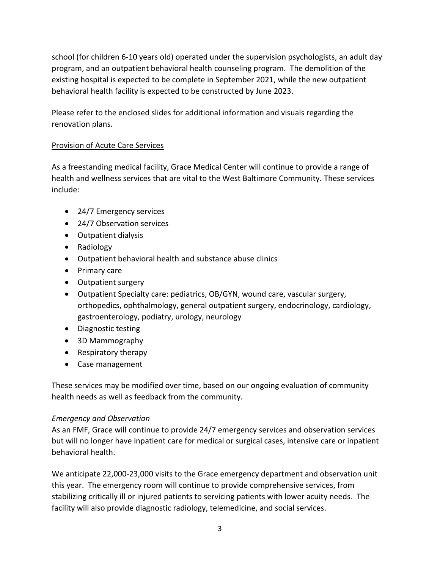school (for children 6-10 years old) operated under the supervision psychologists, an adult day program, and an outpatient behavioral health counseling program. The demolition of the existing hospital is expected to be complete in September 2021, while the new outpatient behavioral health facility is expected to be constructed by June 2023.

Please refer to the enclosed slides for additional information and visuals regarding the renovation plans.

# Provision of Acute Care Services

As a freestanding medical facility, Grace Medical Center will continue to provide a range of health and wellness services that are vital to the West Baltimore Community. These services include:

- 24/7 Emergency services
- 24/7 Observation services
- Outpatient dialysis
- Radiology
- Outpatient behavioral health and substance abuse clinics
- Primary care
- Outpatient surgery
- Outpatient Specialty care: pediatrics, OB/GYN, wound care, vascular surgery, orthopedics, ophthalmology, general outpatient surgery, endocrinology, cardiology, gastroenterology, podiatry, urology, neurology
- Diagnostic testing
- 3D Mammography
- Respiratory therapy
- Case management

These services may be modified over time, based on our ongoing evaluation of community health needs as well as feedback from the community.

## *Emergency and Observation*

As an FMF, Grace will continue to provide 24/7 emergency services and observation services but will no longer have inpatient care for medical or surgical cases, intensive care or inpatient behavioral health.

We anticipate 22,000-23,000 visits to the Grace emergency department and observation unit this year. The emergency room will continue to provide comprehensive services, from stabilizing critically ill or injured patients to servicing patients with lower acuity needs. The facility will also provide diagnostic radiology, telemedicine, and social services.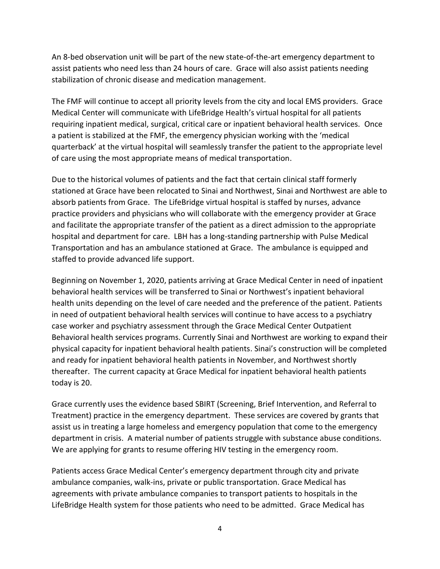An 8-bed observation unit will be part of the new state-of-the-art emergency department to assist patients who need less than 24 hours of care. Grace will also assist patients needing stabilization of chronic disease and medication management.

The FMF will continue to accept all priority levels from the city and local EMS providers. Grace Medical Center will communicate with LifeBridge Health's virtual hospital for all patients requiring inpatient medical, surgical, critical care or inpatient behavioral health services. Once a patient is stabilized at the FMF, the emergency physician working with the 'medical quarterback' at the virtual hospital will seamlessly transfer the patient to the appropriate level of care using the most appropriate means of medical transportation.

Due to the historical volumes of patients and the fact that certain clinical staff formerly stationed at Grace have been relocated to Sinai and Northwest, Sinai and Northwest are able to absorb patients from Grace. The LifeBridge virtual hospital is staffed by nurses, advance practice providers and physicians who will collaborate with the emergency provider at Grace and facilitate the appropriate transfer of the patient as a direct admission to the appropriate hospital and department for care. LBH has a long-standing partnership with Pulse Medical Transportation and has an ambulance stationed at Grace. The ambulance is equipped and staffed to provide advanced life support.

Beginning on November 1, 2020, patients arriving at Grace Medical Center in need of inpatient behavioral health services will be transferred to Sinai or Northwest's inpatient behavioral health units depending on the level of care needed and the preference of the patient. Patients in need of outpatient behavioral health services will continue to have access to a psychiatry case worker and psychiatry assessment through the Grace Medical Center Outpatient Behavioral health services programs. Currently Sinai and Northwest are working to expand their physical capacity for inpatient behavioral health patients. Sinai's construction will be completed and ready for inpatient behavioral health patients in November, and Northwest shortly thereafter. The current capacity at Grace Medical for inpatient behavioral health patients today is 20.

Grace currently uses the evidence based SBIRT (Screening, Brief Intervention, and Referral to Treatment) practice in the emergency department. These services are covered by grants that assist us in treating a large homeless and emergency population that come to the emergency department in crisis. A material number of patients struggle with substance abuse conditions. We are applying for grants to resume offering HIV testing in the emergency room.

Patients access Grace Medical Center's emergency department through city and private ambulance companies, walk-ins, private or public transportation. Grace Medical has agreements with private ambulance companies to transport patients to hospitals in the LifeBridge Health system for those patients who need to be admitted. Grace Medical has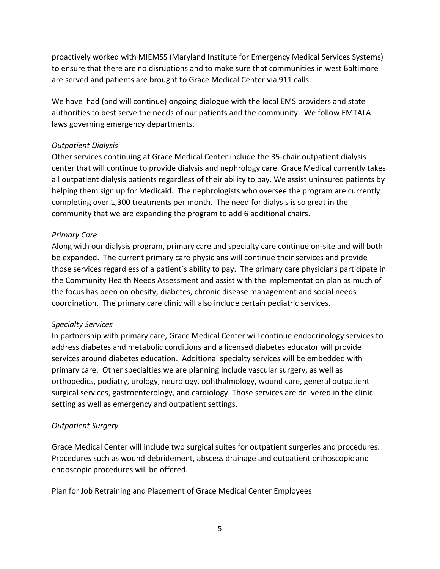proactively worked with MIEMSS (Maryland Institute for Emergency Medical Services Systems) to ensure that there are no disruptions and to make sure that communities in west Baltimore are served and patients are brought to Grace Medical Center via 911 calls.

We have had (and will continue) ongoing dialogue with the local EMS providers and state authorities to best serve the needs of our patients and the community. We follow EMTALA laws governing emergency departments.

## *Outpatient Dialysis*

Other services continuing at Grace Medical Center include the 35-chair outpatient dialysis center that will continue to provide dialysis and nephrology care. Grace Medical currently takes all outpatient dialysis patients regardless of their ability to pay. We assist uninsured patients by helping them sign up for Medicaid. The nephrologists who oversee the program are currently completing over 1,300 treatments per month. The need for dialysis is so great in the community that we are expanding the program to add 6 additional chairs.

#### *Primary Care*

Along with our dialysis program, primary care and specialty care continue on-site and will both be expanded. The current primary care physicians will continue their services and provide those services regardless of a patient's ability to pay. The primary care physicians participate in the Community Health Needs Assessment and assist with the implementation plan as much of the focus has been on obesity, diabetes, chronic disease management and social needs coordination. The primary care clinic will also include certain pediatric services.

## *Specialty Services*

In partnership with primary care, Grace Medical Center will continue endocrinology services to address diabetes and metabolic conditions and a licensed diabetes educator will provide services around diabetes education. Additional specialty services will be embedded with primary care. Other specialties we are planning include vascular surgery, as well as orthopedics, podiatry, urology, neurology, ophthalmology, wound care, general outpatient surgical services, gastroenterology, and cardiology. Those services are delivered in the clinic setting as well as emergency and outpatient settings.

## *Outpatient Surgery*

Grace Medical Center will include two surgical suites for outpatient surgeries and procedures. Procedures such as wound debridement, abscess drainage and outpatient orthoscopic and endoscopic procedures will be offered.

#### Plan for Job Retraining and Placement of Grace Medical Center Employees